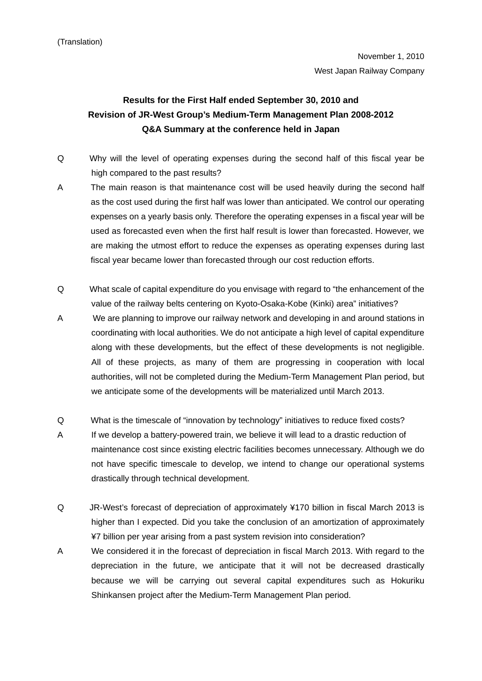## **Results for the First Half ended September 30, 2010 and Revision of JR-West Group's Medium-Term Management Plan 2008-2012 Q&A Summary at the conference held in Japan**

- Q Why will the level of operating expenses during the second half of this fiscal year be high compared to the past results?
- A The main reason is that maintenance cost will be used heavily during the second half as the cost used during the first half was lower than anticipated. We control our operating expenses on a yearly basis only. Therefore the operating expenses in a fiscal year will be used as forecasted even when the first half result is lower than forecasted. However, we are making the utmost effort to reduce the expenses as operating expenses during last fiscal year became lower than forecasted through our cost reduction efforts.
- Q What scale of capital expenditure do you envisage with regard to "the enhancement of the value of the railway belts centering on Kyoto-Osaka-Kobe (Kinki) area" initiatives?
- A We are planning to improve our railway network and developing in and around stations in coordinating with local authorities. We do not anticipate a high level of capital expenditure along with these developments, but the effect of these developments is not negligible. All of these projects, as many of them are progressing in cooperation with local authorities, will not be completed during the Medium-Term Management Plan period, but we anticipate some of the developments will be materialized until March 2013.
- Q What is the timescale of "innovation by technology" initiatives to reduce fixed costs?
- A If we develop a battery-powered train, we believe it will lead to a drastic reduction of maintenance cost since existing electric facilities becomes unnecessary. Although we do not have specific timescale to develop, we intend to change our operational systems drastically through technical development.
- Q JR-West's forecast of depreciation of approximately ¥170 billion in fiscal March 2013 is higher than I expected. Did you take the conclusion of an amortization of approximately ¥7 billion per year arising from a past system revision into consideration?
- A We considered it in the forecast of depreciation in fiscal March 2013. With regard to the depreciation in the future, we anticipate that it will not be decreased drastically because we will be carrying out several capital expenditures such as Hokuriku Shinkansen project after the Medium-Term Management Plan period.